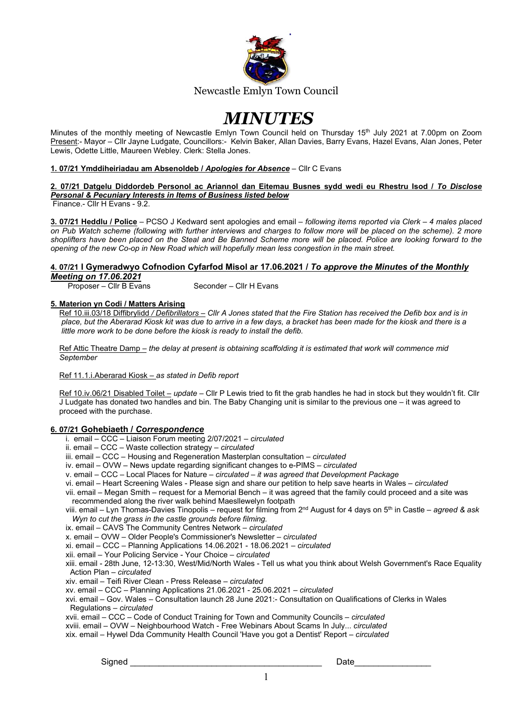

# **MINUTES**

Minutes of the monthly meeting of Newcastle Emlyn Town Council held on Thursday 15<sup>th</sup> July 2021 at 7.00pm on Zoom Present:- Mayor - Cllr Jayne Ludgate, Councillors:- Kelvin Baker, Allan Davies, Barry Evans, Hazel Evans, Alan Jones, Peter Lewis, Odette Little, Maureen Webley. Clerk: Stella Jones.

#### 1. 07/21 Ymddiheiriadau am Absenoldeb / Apologies for Absence – Cllr C Evans

# 2. 07/21 Datgelu Diddordeb Personol ac Ariannol dan Eitemau Busnes sydd wedi eu Rhestru Isod / To Disclose Personal & Pecuniary Interests in Items of Business listed below

Finance.- Cllr H Evans - 9.2.

3. 07/21 Heddlu / Police – PCSO J Kedward sent apologies and email – following items reported via Clerk – 4 males placed on Pub Watch scheme (following with further interviews and charges to follow more will be placed on the scheme). 2 more shoplifters have been placed on the Steal and Be Banned Scheme more will be placed. Police are looking forward to the opening of the new Co-op in New Road which will hopefully mean less congestion in the main street.

#### 4. 07/21 I Gymeradwyo Cofnodion Cyfarfod Misol ar 17.06.2021 / To approve the Minutes of the Monthly Meeting on 17.06.2021

Proposer – Cllr B Evans Seconder – Cllr H Evans

#### 5. Materion yn Codi / Matters Arising

Ref 10.iii.03/18 Diffibrylidd / Defibrillators - Cllr A Jones stated that the Fire Station has received the Defib box and is in place, but the Aberarad Kiosk kit was due to arrive in a few days, a bracket has been made for the kiosk and there is a little more work to be done before the kiosk is ready to install the defib.

 Ref Attic Theatre Damp – the delay at present is obtaining scaffolding it is estimated that work will commence mid **September** 

#### Ref 11.1.i.Aberarad Kiosk - as stated in Defib report

 Ref 10.iv.06/21 Disabled Toilet – update – Cllr P Lewis tried to fit the grab handles he had in stock but they wouldn't fit. Cllr J Ludgate has donated two handles and bin. The Baby Changing unit is similar to the previous one – it was agreed to proceed with the purchase.

#### 6. 07/21 Gohebiaeth / Correspondence

- i. email CCC Liaison Forum meeting 2/07/2021 circulated
- ii. email CCC Waste collection strategy circulated
- iii. email CCC Housing and Regeneration Masterplan consultation *circulated*
- iv. email OVW News update regarding significant changes to e-PIMS circulated
- v. email CCC Local Places for Nature circulated it was agreed that Development Package
- vi. email Heart Screening Wales Please sign and share our petition to help save hearts in Wales circulated
- vii. email Megan Smith request for a Memorial Bench it was agreed that the family could proceed and a site was recommended along the river walk behind Maesllewelyn footpath
- viii. email Lyn Thomas-Davies Tinopolis request for filming from 2<sup>nd</sup> August for 4 days on 5<sup>th</sup> in Castle agreed & ask Wyn to cut the grass in the castle grounds before filming.
- ix. email CAVS The Community Centres Network circulated
- x. email OVW Older People's Commissioner's Newsletter circulated
- xi. email CCC Planning Applications 14.06.2021 18.06.2021 circulated
- xii. email Your Policing Service Your Choice circulated
- xiii. email 28th June, 12-13:30, West/Mid/North Wales Tell us what you think about Welsh Government's Race Equality Action Plan – circulated
- xiv. email Teifi River Clean Press Release circulated
- xv. email CCC Planning Applications 21.06.2021 25.06.2021 circulated
- xvi. email Gov. Wales Consultation launch 28 June 2021:- Consultation on Qualifications of Clerks in Wales Regulations – circulated
- xvii. email CCC Code of Conduct Training for Town and Community Councils circulated
- xviii. email OVW Neighbourhood Watch Free Webinars About Scams In July... circulated
- xix. email Hywel Dda Community Health Council 'Have you got a Dentist' Report circulated

Signed **Example 2** and the state of the state of the state of the state of the state of the state of the state of the state of the state of the state of the state of the state of the state of the state of the state of the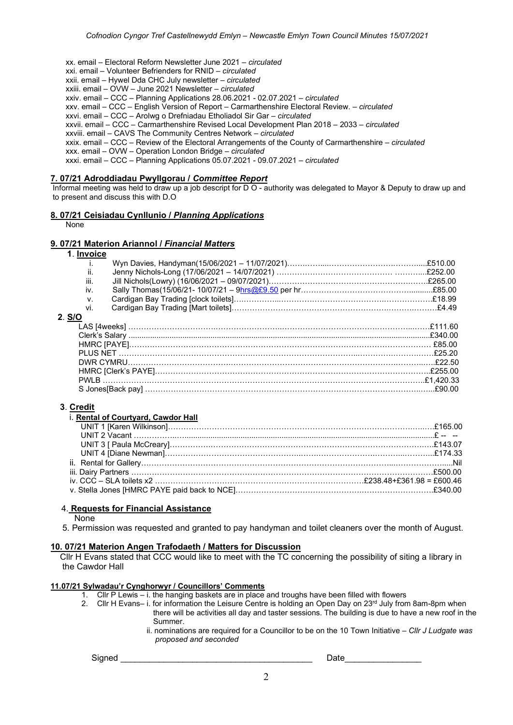xx. email – Electoral Reform Newsletter June 2021 – circulated

xxi. email – Volunteer Befrienders for RNID – circulated

xxii. email – Hywel Dda CHC July newsletter – circulated

xxiii. email – OVW – June 2021 Newsletter – circulated

xxiv. email – CCC – Planning Applications 28.06.2021 - 02.07.2021 – circulated

xxv. email – CCC – English Version of Report – Carmarthenshire Electoral Review. – circulated

xxvi. email – CCC – Arolwg o Drefniadau Etholiadol Sir Gar – *circulated* 

xxvii. email – CCC – Carmarthenshire Revised Local Development Plan 2018 – 2033 – circulated

xxviii. email – CAVS The Community Centres Network – circulated

xxix. email – CCC – Review of the Electoral Arrangements of the County of Carmarthenshire – circulated

xxx. email – OVW – Operation London Bridge – circulated

xxxi. email – CCC – Planning Applications 05.07.2021 - 09.07.2021 – circulated

#### 7. 07/21 Adroddiadau Pwyllgorau / Committee Report

 Informal meeting was held to draw up a job descript for D O - authority was delegated to Mayor & Deputy to draw up and to present and discuss this with D.O

#### 8. 07/21 Ceisiadau Cynllunio / Planning Applications

None

### 9. 07/21 Materion Ariannol / Financial Matters

| 1. Invoice |  |  |
|------------|--|--|
|            |  |  |
| Ш.         |  |  |
| iii.       |  |  |
| İV.        |  |  |
| V.         |  |  |
| Vİ.        |  |  |
| 2. S/O     |  |  |
|            |  |  |
|            |  |  |
|            |  |  |
|            |  |  |
|            |  |  |
|            |  |  |
|            |  |  |
|            |  |  |

#### 3. Credit

| i. Rental of Courtyard, Cawdor Hall |  |
|-------------------------------------|--|
|                                     |  |
|                                     |  |
|                                     |  |
|                                     |  |
|                                     |  |
|                                     |  |
|                                     |  |
|                                     |  |

#### 4. Requests for Financial Assistance

None

5. Permission was requested and granted to pay handyman and toilet cleaners over the month of August.

#### 10. 07/21 Materion Angen Trafodaeth / Matters for Discussion

 Cllr H Evans stated that CCC would like to meet with the TC concerning the possibility of siting a library in the Cawdor Hall

# 11.07/21 Sylwadau'r Cynghorwyr / Councillors' Comments

- 1. Cllr P Lewis i. the hanging baskets are in place and troughs have been filled with flowers
- 2. Cllr H Evans– i. for information the Leisure Centre is holding an Open Day on  $23<sup>rd</sup>$  July from 8am-8pm when there will be activities all day and taster sessions. The building is due to have a new roof in the Summer.
	- ii. nominations are required for a Councillor to be on the 10 Town Initiative Cllr J Ludgate was proposed and seconded

 $\operatorname{Signed}$   $\Box$